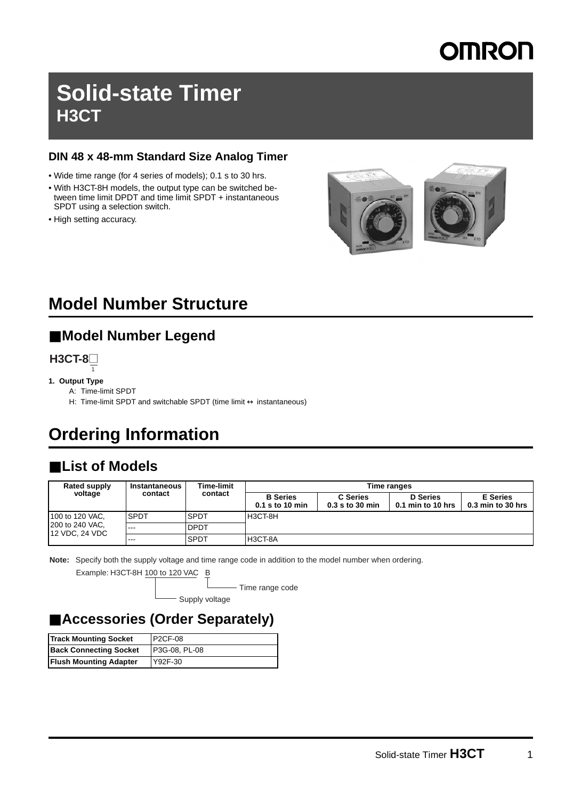# **MRON**

# **Solid-state Timer H3CT**

#### **DIN 48 x 48-mm Standard Size Analog Timer**

- Wide time range (for 4 series of models); 0.1 s to 30 hrs.
- With H3CT-8H models, the output type can be switched between time limit DPDT and time limit SPDT + instantaneous SPDT using a selection switch.
- High setting accuracy.



# **Model Number Structure**

#### ■ **Model Number Legend**

**H3CT-8**@ 1

#### **1. Output Type**

- A: Time-limit SPDT
- H: Time-limit SPDT and switchable SPDT (time limit  $\leftrightarrow$  instantaneous)

# **Ordering Information**

# ■ List of Models

| Rated supply<br>voltage                                     | <b>Instantaneous</b><br>contact | Time-limit<br>contact | Time ranges                        |                                 |                                        |                                        |
|-------------------------------------------------------------|---------------------------------|-----------------------|------------------------------------|---------------------------------|----------------------------------------|----------------------------------------|
|                                                             |                                 |                       | <b>B</b> Series<br>0.1 s to 10 min | C Series<br>$0.3$ s to $30$ min | <b>D</b> Series<br>$0.1$ min to 10 hrs | <b>E</b> Series<br>$0.3$ min to 30 hrs |
| 100 to 120 VAC.<br>200 to 240 VAC.<br><b>12 VDC, 24 VDC</b> | <b>SPDT</b>                     | <b>SPDT</b>           | H3CT-8H                            |                                 |                                        |                                        |
|                                                             | $- - -$                         | <b>DPDT</b>           |                                    |                                 |                                        |                                        |
|                                                             | $--$                            | <b>SPDT</b>           | H3CT-8A                            |                                 |                                        |                                        |

**Note:** Specify both the supply voltage and time range code in addition to the model number when ordering.

Example: H3CT-8H 100 to 120 VAC B

- Time range code

Supply voltage

#### ■ **Accessories (Order Separately)**

| <b>Track Mounting Socket</b>  | <b>P2CF-08</b> |
|-------------------------------|----------------|
| <b>Back Connecting Socket</b> | P3G-08, PL-08  |
| <b>Flush Mounting Adapter</b> | Y92F-30        |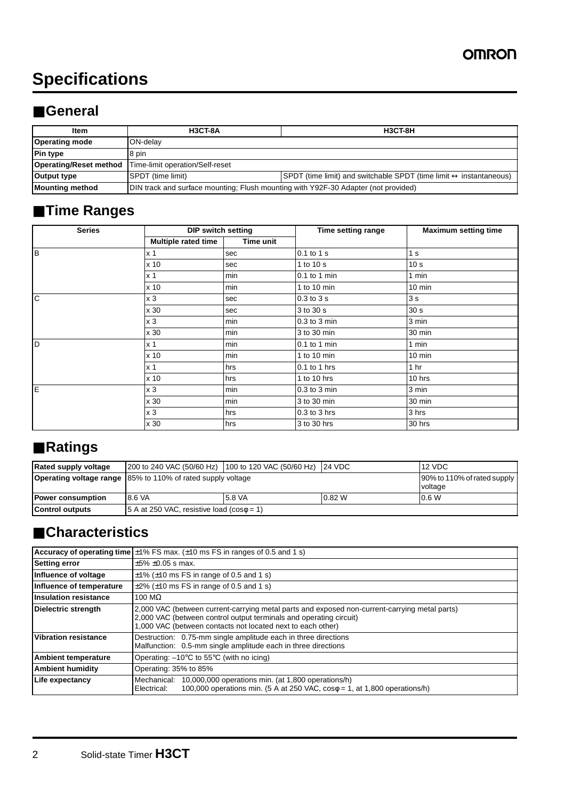# **Specifications**

#### ■ **General**

| Item                          | <b>H3CT-8A</b>                                                                                                 | <b>H3CT-8H</b> |  |
|-------------------------------|----------------------------------------------------------------------------------------------------------------|----------------|--|
| <b>Operating mode</b>         | <b>ION-delav</b>                                                                                               |                |  |
| <b>Pin type</b>               | 8 pin                                                                                                          |                |  |
| <b>Operating/Reset method</b> | Time-limit operation/Self-reset                                                                                |                |  |
| Output type                   | SPDT (time limit) and switchable SPDT (time limit $\leftrightarrow$ instantaneous)<br><b>SPDT</b> (time limit) |                |  |
| Mounting method               | DIN track and surface mounting; Flush mounting with Y92F-30 Adapter (not provided)                             |                |  |

# ■ **Time Ranges**

| <b>Series</b> | <b>DIP switch setting</b> |           | Time setting range | <b>Maximum setting time</b> |  |
|---------------|---------------------------|-----------|--------------------|-----------------------------|--|
|               | Multiple rated time       | Time unit |                    |                             |  |
| Iв            | x 1                       | sec       | 0.1 to 1 s         | 1 <sub>s</sub>              |  |
|               | x 10                      | sec       | 1 to 10 s          | 10 <sub>s</sub>             |  |
|               | x <sub>1</sub>            | min       | 0.1 to 1 min       | 1 min                       |  |
|               | x 10                      | min       | 1 to 10 $min$      | $10 \text{ min}$            |  |
| $\mathsf{C}$  | x <sub>3</sub>            | sec       | $0.3$ to $3s$      | 3 <sub>s</sub>              |  |
|               | x 30                      | sec       | 3 to 30 s          | 30 <sub>s</sub>             |  |
|               | x <sub>3</sub>            | min       | 0.3 to 3 min       | 3 min                       |  |
|               | x 30                      | min       | 3 to 30 min        | 30 min                      |  |
| <b>D</b>      | x <sub>1</sub>            | min       | $0.1$ to 1 min     | 1 min                       |  |
|               | x 10                      | min       | 1 to 10 $min$      | $10 \text{ min}$            |  |
|               | x <sub>1</sub>            | hrs       | $0.1$ to 1 hrs     | 1 <sub>hr</sub>             |  |
|               | x 10                      | hrs       | 1 to 10 hrs        | 10 hrs                      |  |
| E             | x <sub>3</sub>            | min       | 0.3 to 3 min       | 3 min                       |  |
|               | x 30                      | min       | 3 to 30 min        | 30 min                      |  |
|               | x <sub>3</sub>            | hrs       | $0.3$ to $3$ hrs   | 3 hrs                       |  |
|               | x 30                      | hrs       | 3 to 30 hrs        | 30 hrs                      |  |

# ■ **Ratings**

| <b>Rated supply voltage</b> | 200 to 240 VAC (50/60 Hz) 100 to 120 VAC (50/60 Hz) 24 VDC         |        |        | 12 VDC                                 |
|-----------------------------|--------------------------------------------------------------------|--------|--------|----------------------------------------|
|                             | <b>Operating voltage range</b> 85% to 110% of rated supply voltage |        |        | 90% to 110% of rated supply<br>voltage |
| <b>Power consumption</b>    | 8.6 VA                                                             | 5.8 VA | 0.82 W | 0.6 W                                  |
| <b>Control outputs</b>      | 5 A at 250 VAC, resistive load ( $cos\phi = 1$ )                   |        |        |                                        |

# ■ **Characteristics**

|                              | <b>Accuracy of operating time</b> $\pm$ 1% FS max. ( $\pm$ 10 ms FS in ranges of 0.5 and 1 s)                                                                                                                                      |  |  |
|------------------------------|------------------------------------------------------------------------------------------------------------------------------------------------------------------------------------------------------------------------------------|--|--|
| <b>Setting error</b>         | $±5\% ±0.05$ s max.                                                                                                                                                                                                                |  |  |
| Influence of voltage         | $\pm$ 1% ( $\pm$ 10 ms FS in range of 0.5 and 1 s)                                                                                                                                                                                 |  |  |
| Influence of temperature     | $\pm$ 2% ( $\pm$ 10 ms FS in range of 0.5 and 1 s)                                                                                                                                                                                 |  |  |
| <b>Insulation resistance</b> | 100 M $\Omega$                                                                                                                                                                                                                     |  |  |
| <b>Dielectric strength</b>   | 2,000 VAC (between current-carrying metal parts and exposed non-current-carrying metal parts)<br>2,000 VAC (between control output terminals and operating circuit)<br>1,000 VAC (between contacts not located next to each other) |  |  |
| <b>Vibration resistance</b>  | Destruction: 0.75-mm single amplitude each in three directions<br>Malfunction: 0.5-mm single amplitude each in three directions                                                                                                    |  |  |
| <b>Ambient temperature</b>   | Operating: $-10^{\circ}$ C to 55 $^{\circ}$ C (with no icing)                                                                                                                                                                      |  |  |
| <b>Ambient humidity</b>      | Operating: 35% to 85%                                                                                                                                                                                                              |  |  |
| <b>Life expectancy</b>       | Mechanical: 10,000,000 operations min. (at 1,800 operations/h)<br>100,000 operations min. $(5 \text{ A at } 250 \text{ VAC}, \cos \phi = 1, \text{ at } 1,800 \text{ operations/h})$<br>Electrical:                                |  |  |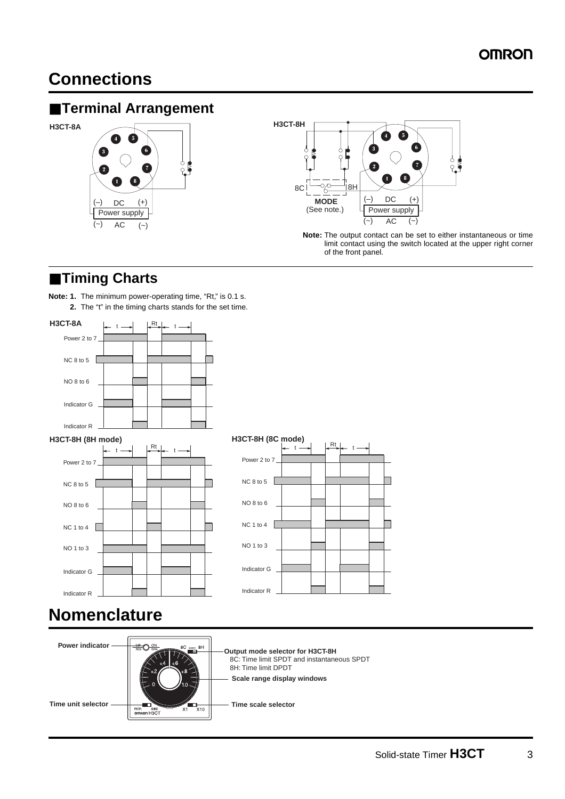# **Connections**

#### ■ **Terminal Arrangement**







**Note:** The output contact can be set to either instantaneous or time limit contact using the switch located at the upper right corner of the front panel.

### ■ **Timing Charts**

**Note: 1.** The minimum power-operating time, "Rt," is 0.1 s. **2.** The "t" in the timing charts stands for the set time.



# $t \rightarrow$   $\frac{Rt}{t}$  t Τ

# **Nomenclature**

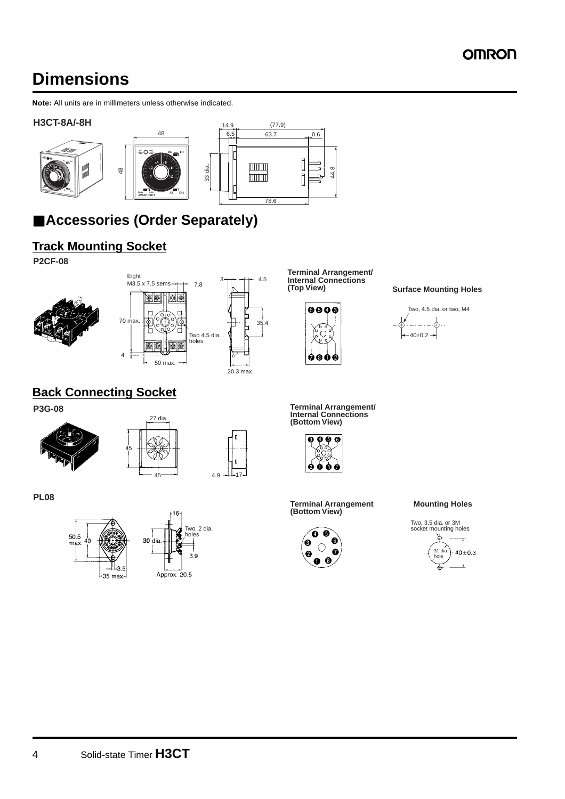# **Dimensions**

**Note:** All units are in millimeters unless otherwise indicated.

#### **H3CT-8A/-8H**



# ■ **Accessories (Order Separately)**

#### **Track Mounting Socket**

**P2CF-08**



**Terminal Arrangement/ Internal Connections** 



**Surface Mounting Holes** 



#### **Back Connecting Socket**







**PL08**





Approx. 20.5

**P3G-08 Terminal Arrangement/**<br>
<sup>27 dia</sup><br> **127 dia**<br> **127 dia**<br> **129 dia**<br> **129 dia**<br> **129 dia**<br> **129 dia**<br> **129 dia**<br> **129 dia**<br> **129 dia**<br> **129 dia**<br> **129 dia**<br> **129 dia** 



**Terminal Arrangement Mounting Holes (Bottom View)**



Two, 3.5 dia. or 3M socket mounting holes

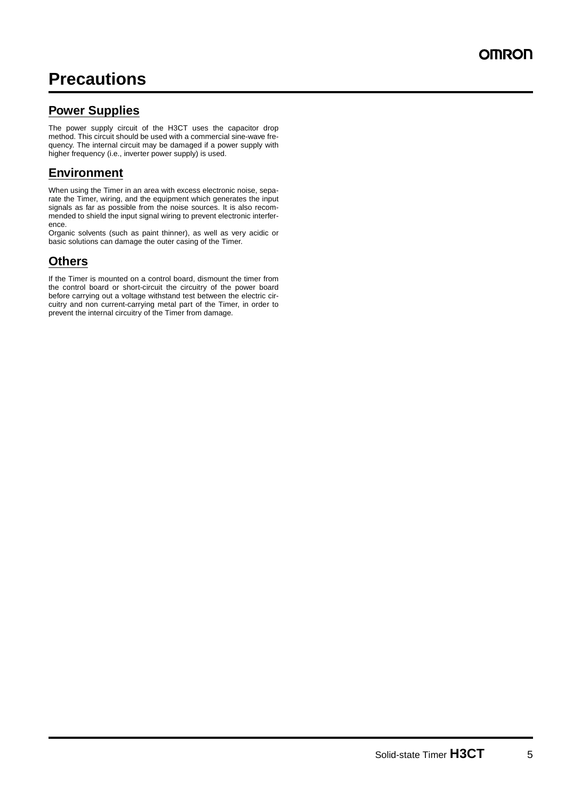#### **Power Supplies**

The power supply circuit of the H3CT uses the capacitor drop method. This circuit should be used with a commercial sine-wave frequency. The internal circuit may be damaged if a power supply with higher frequency (i.e., inverter power supply) is used.

#### **Environment**

When using the Timer in an area with excess electronic noise, separate the Timer, wiring, and the equipment which generates the input signals as far as possible from the noise sources. It is also recommended to shield the input signal wiring to prevent electronic interference.

Organic solvents (such as paint thinner), as well as very acidic or basic solutions can damage the outer casing of the Timer.

#### **Others**

If the Timer is mounted on a control board, dismount the timer from the control board or short-circuit the circuitry of the power board before carrying out a voltage withstand test between the electric circuitry and non current-carrying metal part of the Timer, in order to prevent the internal circuitry of the Timer from damage.